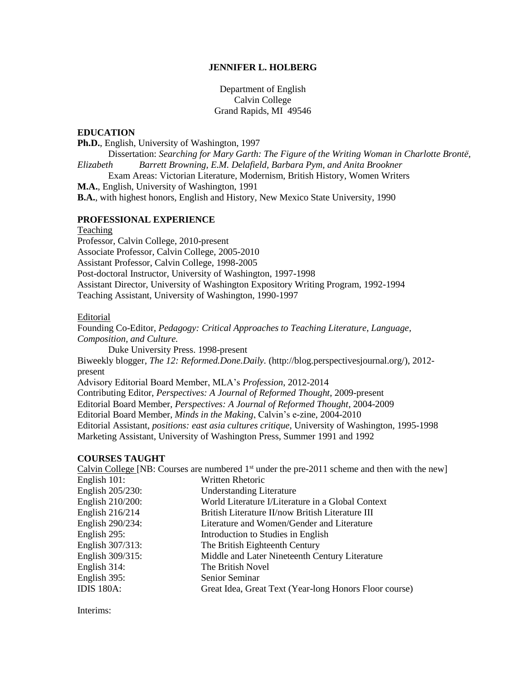### **JENNIFER L. HOLBERG**

Department of English Calvin College Grand Rapids, MI 49546

#### **EDUCATION**

**Ph.D.**, English, University of Washington, 1997 Dissertation: *Searching for Mary Garth: The Figure of the Writing Woman in Charlotte Brontë, Elizabeth Barrett Browning, E.M. Delafield, Barbara Pym, and Anita Brookner* Exam Areas: Victorian Literature, Modernism, British History, Women Writers **M.A.**, English, University of Washington, 1991 **B.A.**, with highest honors, English and History, New Mexico State University, 1990

### **PROFESSIONAL EXPERIENCE**

#### Teaching

Professor, Calvin College, 2010-present Associate Professor, Calvin College, 2005-2010 Assistant Professor, Calvin College, 1998-2005 Post-doctoral Instructor, University of Washington, 1997-1998 Assistant Director, University of Washington Expository Writing Program, 1992-1994 Teaching Assistant, University of Washington, 1990-1997

#### Editorial

Founding Co-Editor, *Pedagogy: Critical Approaches to Teaching Literature, Language, Composition, and Culture.*

Duke University Press. 1998-present

Biweekly blogger, *The 12: Reformed.Done.Daily.* (http://blog.perspectivesjournal.org/), 2012 present

Advisory Editorial Board Member, MLA's *Profession*, 2012-2014

Contributing Editor, *Perspectives: A Journal of Reformed Thought*, 2009-present

Editorial Board Member, *Perspectives: A Journal of Reformed Thought*, 2004-2009

Editorial Board Member, *Minds in the Making*, Calvin's e-zine, 2004-2010

Editorial Assistant, *positions: east asia cultures critique*, University of Washington, 1995-1998 Marketing Assistant, University of Washington Press, Summer 1991 and 1992

### **COURSES TAUGHT**

Calvin College [NB: Courses are numbered  $1<sup>st</sup>$  under the pre-2011 scheme and then with the new] English 101: Written Rhetoric English 205/230: Understanding Literature English 210/200: World Literature I/Literature in a Global Context English 216/214 British Literature II/now British Literature III English 290/234: Literature and Women/Gender and Literature English 295: Introduction to Studies in English English 307/313: The British Eighteenth Century English 309/315: Middle and Later Nineteenth Century Literature English 314: The British Novel English 395: Senior Seminar IDIS 180A: Great Idea, Great Text (Year-long Honors Floor course)

Interims: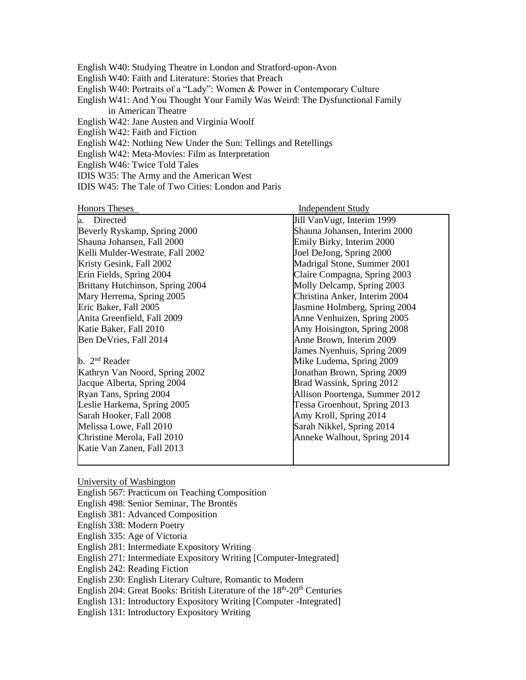English W40: Studying Theatre in London and Stratford-upon-Avon English W40: Faith and Literature: Stories that Preach English W40: Portraits of a "Lady": Women & Power in Contemporary Culture English W41: And You Thought Your Family Was Weird: The Dysfunctional Family in American Theatre English W42: Jane Austen and Virginia Woolf English W42: Faith and Fiction English W42: Nothing New Under the Sun: Tellings and Retellings English W42: Meta-Movies: Film as Interpretation English W46: Twice Told Tales IDIS W35: The Army and the American West

IDIS W45: The Tale of Two Cities: London and Paris

| <b>Honors Theses</b>             | <b>Independent Study</b>       |
|----------------------------------|--------------------------------|
| Directed<br>а.                   | Jill VanVugt, Interim 1999     |
| Beverly Ryskamp, Spring 2000     | Shauna Johansen, Interim 2000  |
| Shauna Johansen, Fall 2000       | Emily Birky, Interim 2000      |
| Kelli Mulder-Westrate, Fall 2002 | Joel DeJong, Spring 2000       |
| Kristy Gesink, Fall 2002         | Madrigal Stone, Summer 2001    |
| Erin Fields, Spring 2004         | Claire Compagna, Spring 2003   |
| Brittany Hutchinson, Spring 2004 | Molly Delcamp, Spring 2003     |
| Mary Herrema, Spring 2005        | Christina Anker, Interim 2004  |
| Eric Baker, Fall 2005            | Jasmine Holmberg, Spring 2004  |
| Anita Greenfield, Fall 2009      | Anne Venhuizen, Spring 2005    |
| Katie Baker, Fall 2010           | Amy Hoisington, Spring 2008    |
| Ben DeVries, Fall 2014           | Anne Brown, Interim 2009       |
|                                  | James Nyenhuis, Spring 2009    |
| b. $2nd$ Reader                  | Mike Ludema, Spring 2009       |
| Kathryn Van Noord, Spring 2002   | Jonathan Brown, Spring 2009    |
| Jacque Alberta, Spring 2004      | Brad Wassink, Spring 2012      |
| Ryan Tans, Spring 2004           | Allison Poortenga, Summer 2012 |
| Leslie Harkema, Spring 2005      | Tessa Groenhout, Spring 2013   |
| Sarah Hooker, Fall 2008          | Amy Kroll, Spring 2014         |
| Melissa Lowe, Fall 2010          | Sarah Nikkel, Spring 2014      |
| Christine Merola, Fall 2010      | Anneke Walhout, Spring 2014    |
| Katie Van Zanen, Fall 2013       |                                |
|                                  |                                |

University of Washington English 567: Practicum on Teaching Composition English 498: Senior Seminar, The Brontës English 381: Advanced Composition English 338: Modern Poetry English 335: Age of Victoria English 281: Intermediate Expository Writing English 271: Intermediate Expository Writing [Computer-Integrated] English 242: Reading Fiction English 230: English Literary Culture, Romantic to Modern English 204: Great Books: British Literature of the 18<sup>th</sup>-20<sup>th</sup> Centuries English 131: Introductory Expository Writing [Computer -Integrated]

English 131: Introductory Expository Writing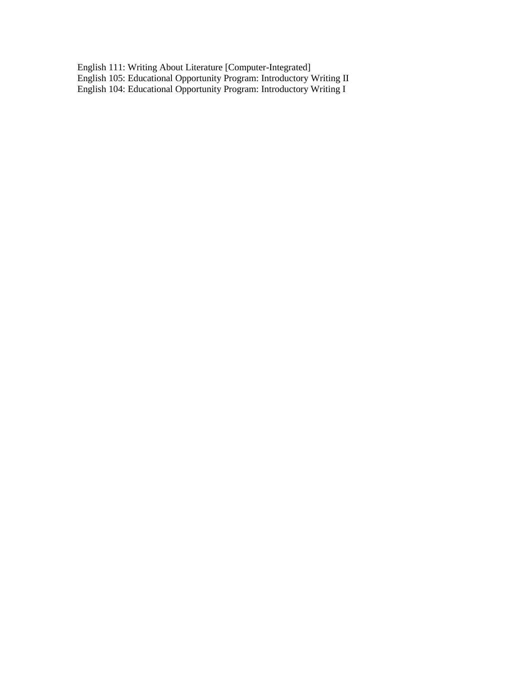English 111: Writing About Literature [Computer-Integrated] English 105: Educational Opportunity Program: Introductory Writing II English 104: Educational Opportunity Program: Introductory Writing I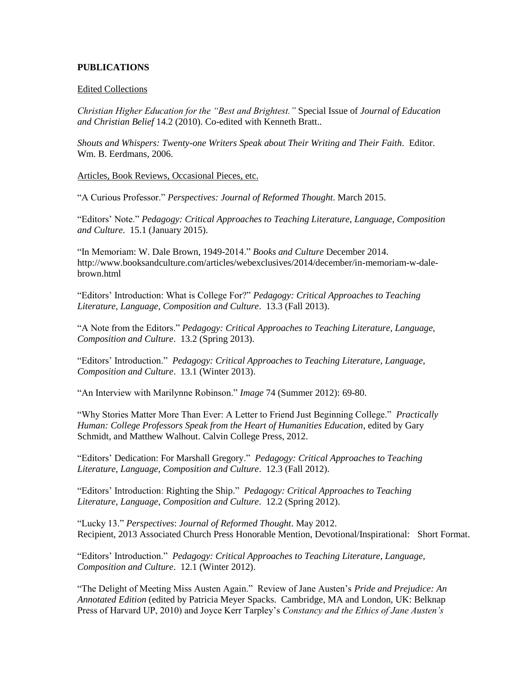# **PUBLICATIONS**

## Edited Collections

*Christian Higher Education for the "Best and Brightest."* Special Issue of *Journal of Education and Christian Belief* 14.2 (2010). Co-edited with Kenneth Bratt..

*Shouts and Whispers: Twenty-one Writers Speak about Their Writing and Their Faith*. Editor. Wm. B. Eerdmans, 2006.

Articles, Book Reviews, Occasional Pieces, etc.

"A Curious Professor." *Perspectives: Journal of Reformed Thought*. March 2015.

"Editors' Note." *Pedagogy: Critical Approaches to Teaching Literature, Language, Composition and Culture*. 15.1 (January 2015).

"In Memoriam: W. Dale Brown, 1949-2014." *Books and Culture* December 2014. http://www.booksandculture.com/articles/webexclusives/2014/december/in-memoriam-w-dalebrown.html

"Editors' Introduction: What is College For?" *Pedagogy: Critical Approaches to Teaching Literature, Language, Composition and Culture*. 13.3 (Fall 2013).

"A Note from the Editors." *Pedagogy: Critical Approaches to Teaching Literature, Language, Composition and Culture*. 13.2 (Spring 2013).

"Editors' Introduction." *Pedagogy: Critical Approaches to Teaching Literature, Language, Composition and Culture*. 13.1 (Winter 2013).

"An Interview with Marilynne Robinson." *Image* 74 (Summer 2012): 69-80.

"Why Stories Matter More Than Ever: A Letter to Friend Just Beginning College." *Practically Human: College Professors Speak from the Heart of Humanities Education*, edited by Gary Schmidt, and Matthew Walhout. Calvin College Press, 2012.

"Editors' Dedication: For Marshall Gregory." *Pedagogy: Critical Approaches to Teaching Literature, Language, Composition and Culture*. 12.3 (Fall 2012).

"Editors' Introduction: Righting the Ship." *Pedagogy: Critical Approaches to Teaching Literature, Language, Composition and Culture*. 12.2 (Spring 2012).

"Lucky 13." *Perspectives*: *Journal of Reformed Thought*. May 2012. Recipient, 2013 Associated Church Press Honorable Mention, Devotional/Inspirational: Short Format.

"Editors' Introduction." *Pedagogy: Critical Approaches to Teaching Literature, Language, Composition and Culture*. 12.1 (Winter 2012).

"The Delight of Meeting Miss Austen Again." Review of Jane Austen's *Pride and Prejudice: An Annotated Edition* (edited by Patricia Meyer Spacks. Cambridge, MA and London, UK: Belknap Press of Harvard UP, 2010) and Joyce Kerr Tarpley's *Constancy and the Ethics of Jane Austen's*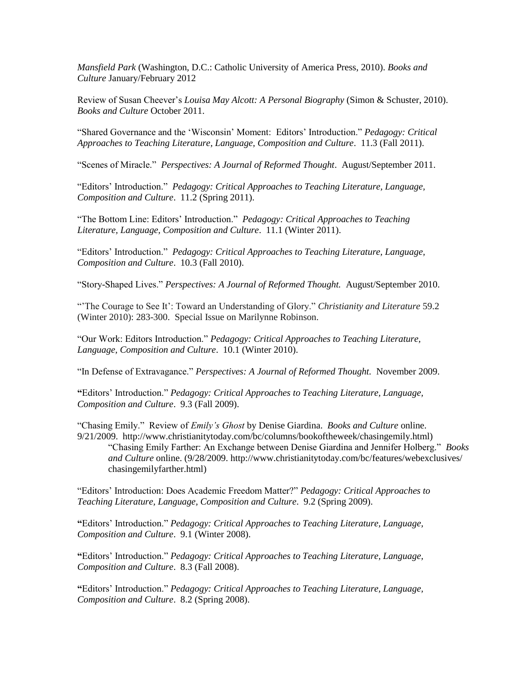*Mansfield Park* (Washington, D.C.: Catholic University of America Press, 2010). *Books and Culture* January/February 2012

Review of Susan Cheever's *Louisa May Alcott: A Personal Biography* (Simon & Schuster, 2010). *Books and Culture* October 2011.

"Shared Governance and the 'Wisconsin' Moment: Editors' Introduction." *Pedagogy: Critical Approaches to Teaching Literature, Language, Composition and Culture*. 11.3 (Fall 2011).

"Scenes of Miracle." *Perspectives: A Journal of Reformed Thought*. August/September 2011.

"Editors' Introduction." *Pedagogy: Critical Approaches to Teaching Literature, Language, Composition and Culture*. 11.2 (Spring 2011).

"The Bottom Line: Editors' Introduction." *Pedagogy: Critical Approaches to Teaching Literature, Language, Composition and Culture*. 11.1 (Winter 2011).

"Editors' Introduction." *Pedagogy: Critical Approaches to Teaching Literature, Language, Composition and Culture*. 10.3 (Fall 2010).

"Story-Shaped Lives." *Perspectives: A Journal of Reformed Thought.* August/September 2010.

"'The Courage to See It': Toward an Understanding of Glory." *Christianity and Literature* 59.2 (Winter 2010): 283-300. Special Issue on Marilynne Robinson.

"Our Work: Editors Introduction." *Pedagogy: Critical Approaches to Teaching Literature, Language, Composition and Culture*. 10.1 (Winter 2010).

"In Defense of Extravagance." *Perspectives: A Journal of Reformed Thought.* November 2009.

**"**Editors' Introduction." *Pedagogy: Critical Approaches to Teaching Literature, Language, Composition and Culture*. 9.3 (Fall 2009).

"Chasing Emily." Review of *Emily's Ghost* by Denise Giardina. *Books and Culture* online. 9/21/2009. http://www.christianitytoday.com/bc/columns/bookoftheweek/chasingemily.html) "Chasing Emily Farther: An Exchange between Denise Giardina and Jennifer Holberg." *Books* 

*and Culture* online. (9/28/2009. http://www.christianitytoday.com/bc/features/webexclusives/ chasingemilyfarther.html)

"Editors' Introduction: Does Academic Freedom Matter?" *Pedagogy: Critical Approaches to Teaching Literature, Language, Composition and Culture*. 9.2 (Spring 2009).

**"**Editors' Introduction." *Pedagogy: Critical Approaches to Teaching Literature, Language, Composition and Culture*. 9.1 (Winter 2008).

**"**Editors' Introduction." *Pedagogy: Critical Approaches to Teaching Literature, Language, Composition and Culture*. 8.3 (Fall 2008).

**"**Editors' Introduction." *Pedagogy: Critical Approaches to Teaching Literature, Language, Composition and Culture*. 8.2 (Spring 2008).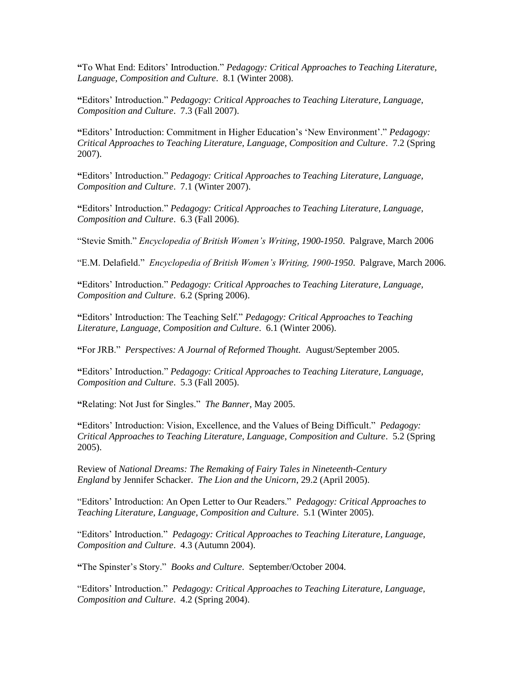**"**To What End: Editors' Introduction." *Pedagogy: Critical Approaches to Teaching Literature, Language, Composition and Culture*. 8.1 (Winter 2008).

**"**Editors' Introduction." *Pedagogy: Critical Approaches to Teaching Literature, Language, Composition and Culture*. 7.3 (Fall 2007).

**"**Editors' Introduction: Commitment in Higher Education's 'New Environment'." *Pedagogy: Critical Approaches to Teaching Literature, Language, Composition and Culture*. 7.2 (Spring 2007).

**"**Editors' Introduction." *Pedagogy: Critical Approaches to Teaching Literature, Language, Composition and Culture*. 7.1 (Winter 2007).

**"**Editors' Introduction." *Pedagogy: Critical Approaches to Teaching Literature, Language, Composition and Culture*. 6.3 (Fall 2006).

"Stevie Smith." *Encyclopedia of British Women's Writing, 1900-1950*. Palgrave, March 2006

"E.M. Delafield." *Encyclopedia of British Women's Writing, 1900-1950*. Palgrave, March 2006.

**"**Editors' Introduction." *Pedagogy: Critical Approaches to Teaching Literature, Language, Composition and Culture*. 6.2 (Spring 2006).

**"**Editors' Introduction: The Teaching Self." *Pedagogy: Critical Approaches to Teaching Literature, Language, Composition and Culture*. 6.1 (Winter 2006).

**"**For JRB." *Perspectives: A Journal of Reformed Thought.* August/September 2005.

**"**Editors' Introduction." *Pedagogy: Critical Approaches to Teaching Literature, Language, Composition and Culture*. 5.3 (Fall 2005).

**"**Relating: Not Just for Singles." *The Banner*, May 2005.

**"**Editors' Introduction: Vision, Excellence, and the Values of Being Difficult." *Pedagogy: Critical Approaches to Teaching Literature, Language, Composition and Culture*. 5.2 (Spring 2005).

Review of *National Dreams: The Remaking of Fairy Tales in Nineteenth-Century England* by Jennifer Schacker. *The Lion and the Unicorn*, 29.2 (April 2005).

"Editors' Introduction: An Open Letter to Our Readers." *Pedagogy: Critical Approaches to Teaching Literature, Language, Composition and Culture*. 5.1 (Winter 2005).

"Editors' Introduction." *Pedagogy: Critical Approaches to Teaching Literature, Language, Composition and Culture*. 4.3 (Autumn 2004).

**"**The Spinster's Story." *Books and Culture*. September/October 2004.

"Editors' Introduction." *Pedagogy: Critical Approaches to Teaching Literature, Language, Composition and Culture*. 4.2 (Spring 2004).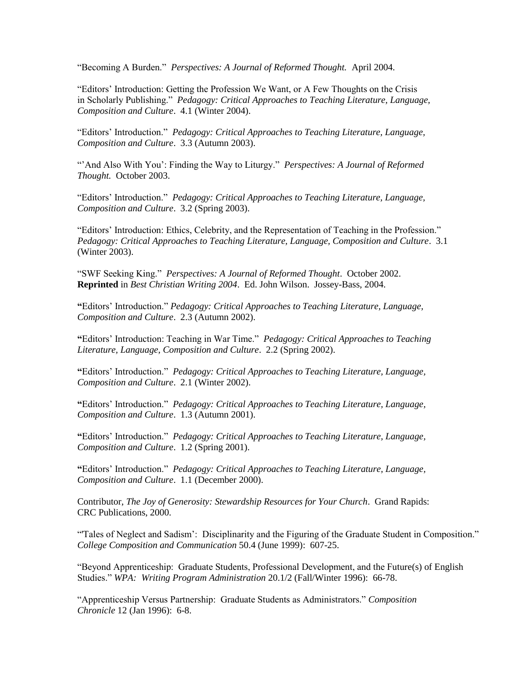"Becoming A Burden." *Perspectives: A Journal of Reformed Thought.* April 2004.

"Editors' Introduction: Getting the Profession We Want, or A Few Thoughts on the Crisis in Scholarly Publishing." *Pedagogy: Critical Approaches to Teaching Literature, Language, Composition and Culture*. 4.1 (Winter 2004).

"Editors' Introduction." *Pedagogy: Critical Approaches to Teaching Literature, Language, Composition and Culture*. 3.3 (Autumn 2003).

"'And Also With You': Finding the Way to Liturgy." *Perspectives: A Journal of Reformed Thought.* October 2003.

"Editors' Introduction." *Pedagogy: Critical Approaches to Teaching Literature, Language, Composition and Culture*. 3.2 (Spring 2003).

"Editors' Introduction: Ethics, Celebrity, and the Representation of Teaching in the Profession." *Pedagogy: Critical Approaches to Teaching Literature, Language, Composition and Culture*. 3.1 (Winter 2003).

"SWF Seeking King." *Perspectives: A Journal of Reformed Thought*. October 2002. **Reprinted** in *Best Christian Writing 2004*. Ed. John Wilson. Jossey-Bass, 2004.

**"**Editors' Introduction." *Pedagogy: Critical Approaches to Teaching Literature, Language, Composition and Culture*. 2.3 (Autumn 2002).

**"**Editors' Introduction: Teaching in War Time." *Pedagogy: Critical Approaches to Teaching Literature, Language, Composition and Culture*. 2.2 (Spring 2002).

**"**Editors' Introduction." *Pedagogy: Critical Approaches to Teaching Literature, Language, Composition and Culture*. 2.1 (Winter 2002).

**"**Editors' Introduction." *Pedagogy: Critical Approaches to Teaching Literature, Language, Composition and Culture*. 1.3 (Autumn 2001).

**"**Editors' Introduction." *Pedagogy: Critical Approaches to Teaching Literature, Language, Composition and Culture*. 1.2 (Spring 2001).

**"**Editors' Introduction." *Pedagogy: Critical Approaches to Teaching Literature, Language, Composition and Culture*. 1.1 (December 2000).

Contributor, *The Joy of Generosity: Stewardship Resources for Your Church*. Grand Rapids: CRC Publications, 2000.

"'Tales of Neglect and Sadism': Disciplinarity and the Figuring of the Graduate Student in Composition." *College Composition and Communication* 50.4 (June 1999): 607-25.

"Beyond Apprenticeship: Graduate Students, Professional Development, and the Future(s) of English Studies." *WPA: Writing Program Administration* 20.1/2 (Fall/Winter 1996): 66-78.

"Apprenticeship Versus Partnership: Graduate Students as Administrators." *Composition Chronicle* 12 (Jan 1996): 6-8.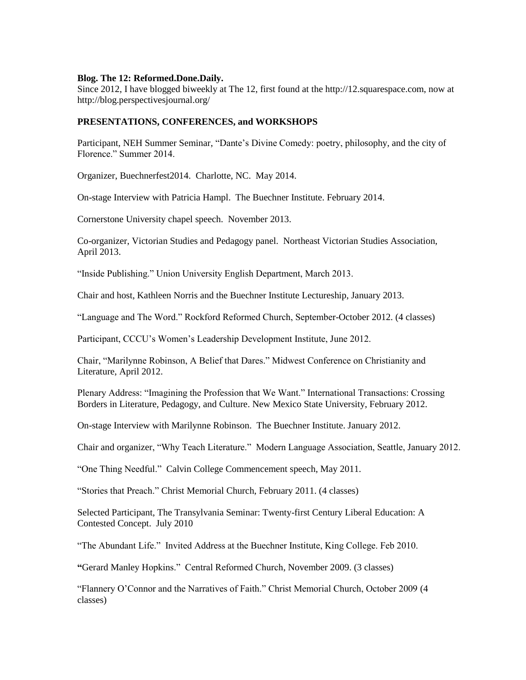## **Blog. The 12: Reformed.Done.Daily.**

Since 2012, I have blogged biweekly at The 12, first found at the http://12.squarespace.com, now at http://blog.perspectivesjournal.org/

## **PRESENTATIONS, CONFERENCES, and WORKSHOPS**

Participant, NEH Summer Seminar, "Dante's Divine Comedy: poetry, philosophy, and the city of Florence." Summer 2014.

Organizer, Buechnerfest2014. Charlotte, NC. May 2014.

On-stage Interview with Patricia Hampl. The Buechner Institute. February 2014.

Cornerstone University chapel speech. November 2013.

Co-organizer, Victorian Studies and Pedagogy panel. Northeast Victorian Studies Association, April 2013.

"Inside Publishing." Union University English Department, March 2013.

Chair and host, Kathleen Norris and the Buechner Institute Lectureship, January 2013.

"Language and The Word." Rockford Reformed Church, September-October 2012. (4 classes)

Participant, CCCU's Women's Leadership Development Institute, June 2012.

Chair, "Marilynne Robinson, A Belief that Dares." Midwest Conference on Christianity and Literature, April 2012.

Plenary Address: "Imagining the Profession that We Want." International Transactions: Crossing Borders in Literature, Pedagogy, and Culture. New Mexico State University, February 2012.

On-stage Interview with Marilynne Robinson. The Buechner Institute. January 2012.

Chair and organizer, "Why Teach Literature." Modern Language Association, Seattle, January 2012.

"One Thing Needful." Calvin College Commencement speech, May 2011.

"Stories that Preach." Christ Memorial Church, February 2011. (4 classes)

Selected Participant, The Transylvania Seminar: Twenty-first Century Liberal Education: A Contested Concept. July 2010

"The Abundant Life." Invited Address at the Buechner Institute, King College. Feb 2010.

**"**Gerard Manley Hopkins." Central Reformed Church, November 2009. (3 classes)

"Flannery O'Connor and the Narratives of Faith." Christ Memorial Church, October 2009 (4 classes)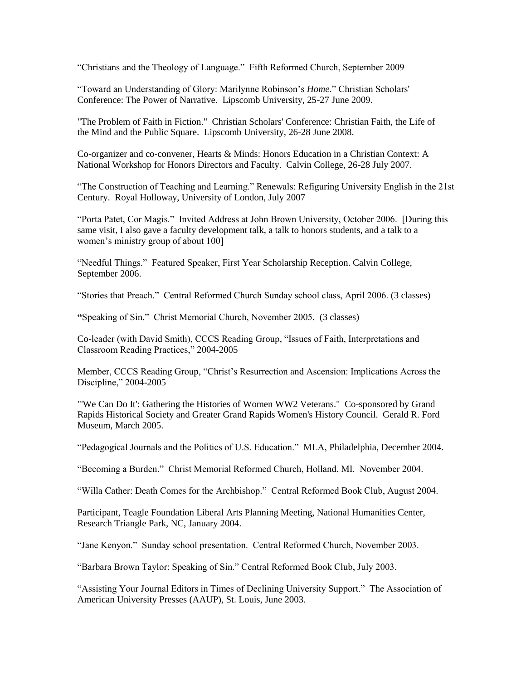"Christians and the Theology of Language." Fifth Reformed Church, September 2009

"Toward an Understanding of Glory: Marilynne Robinson's *Home*." Christian Scholars' Conference: The Power of Narrative. Lipscomb University, 25-27 June 2009.

"The Problem of Faith in Fiction." Christian Scholars' Conference: Christian Faith, the Life of the Mind and the Public Square. Lipscomb University, 26-28 June 2008.

Co-organizer and co-convener, Hearts & Minds: Honors Education in a Christian Context: A National Workshop for Honors Directors and Faculty. Calvin College, 26-28 July 2007.

"The Construction of Teaching and Learning." Renewals: Refiguring University English in the 21st Century. Royal Holloway, University of London, July 2007

"Porta Patet, Cor Magis." Invited Address at John Brown University, October 2006. [During this same visit, I also gave a faculty development talk, a talk to honors students, and a talk to a women's ministry group of about 100]

"Needful Things." Featured Speaker, First Year Scholarship Reception. Calvin College, September 2006.

"Stories that Preach." Central Reformed Church Sunday school class, April 2006. (3 classes)

**"**Speaking of Sin." Christ Memorial Church, November 2005. (3 classes)

Co-leader (with David Smith), CCCS Reading Group, "Issues of Faith, Interpretations and Classroom Reading Practices," 2004-2005

Member, CCCS Reading Group, "Christ's Resurrection and Ascension: Implications Across the Discipline," 2004-2005

"'We Can Do It': Gathering the Histories of Women WW2 Veterans." Co-sponsored by Grand Rapids Historical Society and Greater Grand Rapids Women's History Council. Gerald R. Ford Museum, March 2005.

"Pedagogical Journals and the Politics of U.S. Education." MLA, Philadelphia, December 2004.

"Becoming a Burden." Christ Memorial Reformed Church, Holland, MI. November 2004.

"Willa Cather: Death Comes for the Archbishop." Central Reformed Book Club, August 2004.

Participant, Teagle Foundation Liberal Arts Planning Meeting, National Humanities Center, Research Triangle Park, NC, January 2004.

"Jane Kenyon." Sunday school presentation. Central Reformed Church, November 2003.

"Barbara Brown Taylor: Speaking of Sin." Central Reformed Book Club, July 2003.

"Assisting Your Journal Editors in Times of Declining University Support." The Association of American University Presses (AAUP), St. Louis, June 2003.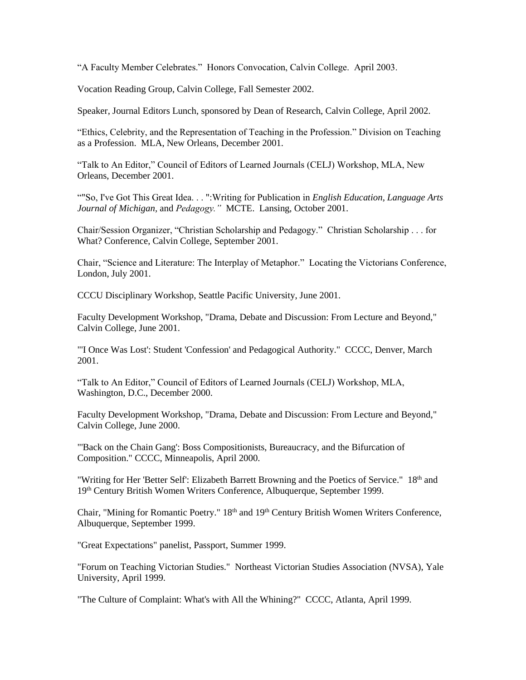"A Faculty Member Celebrates." Honors Convocation, Calvin College. April 2003.

Vocation Reading Group, Calvin College, Fall Semester 2002.

Speaker, Journal Editors Lunch, sponsored by Dean of Research, Calvin College, April 2002.

"Ethics, Celebrity, and the Representation of Teaching in the Profession." Division on Teaching as a Profession. MLA, New Orleans, December 2001.

"Talk to An Editor," Council of Editors of Learned Journals (CELJ) Workshop, MLA, New Orleans, December 2001.

""So, I've Got This Great Idea. . . ":Writing for Publication in *English Education*, *Language Arts Journal of Michigan,* and *Pedagogy."* MCTE. Lansing, October 2001.

Chair/Session Organizer, "Christian Scholarship and Pedagogy." Christian Scholarship . . . for What? Conference, Calvin College, September 2001.

Chair, "Science and Literature: The Interplay of Metaphor." Locating the Victorians Conference, London, July 2001.

CCCU Disciplinary Workshop, Seattle Pacific University, June 2001.

Faculty Development Workshop, "Drama, Debate and Discussion: From Lecture and Beyond," Calvin College, June 2001.

"'I Once Was Lost': Student 'Confession' and Pedagogical Authority." CCCC, Denver, March 2001.

"Talk to An Editor," Council of Editors of Learned Journals (CELJ) Workshop, MLA, Washington, D.C., December 2000.

Faculty Development Workshop, "Drama, Debate and Discussion: From Lecture and Beyond," Calvin College, June 2000.

"'Back on the Chain Gang': Boss Compositionists, Bureaucracy, and the Bifurcation of Composition." CCCC, Minneapolis, April 2000.

"Writing for Her 'Better Self': Elizabeth Barrett Browning and the Poetics of Service." 18<sup>th</sup> and 19th Century British Women Writers Conference, Albuquerque, September 1999.

Chair, "Mining for Romantic Poetry." 18<sup>th</sup> and 19<sup>th</sup> Century British Women Writers Conference, Albuquerque, September 1999.

"Great Expectations" panelist, Passport, Summer 1999.

"Forum on Teaching Victorian Studies." Northeast Victorian Studies Association (NVSA), Yale University, April 1999.

"The Culture of Complaint: What's with All the Whining?" CCCC, Atlanta, April 1999.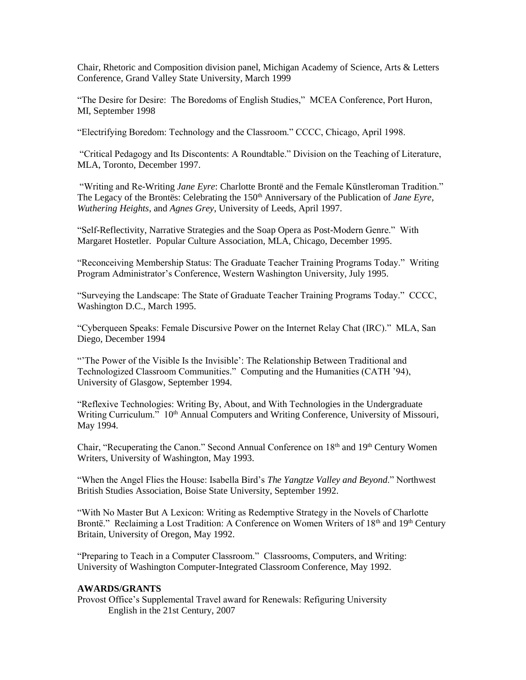Chair, Rhetoric and Composition division panel, Michigan Academy of Science, Arts & Letters Conference, Grand Valley State University, March 1999

"The Desire for Desire: The Boredoms of English Studies," MCEA Conference, Port Huron, MI, September 1998

"Electrifying Boredom: Technology and the Classroom." CCCC, Chicago, April 1998.

"Critical Pedagogy and Its Discontents: A Roundtable." Division on the Teaching of Literature, MLA, Toronto, December 1997.

"Writing and Re-Writing *Jane Eyre*: Charlotte Brontë and the Female Künstleroman Tradition." The Legacy of the Brontës: Celebrating the 150<sup>th</sup> Anniversary of the Publication of *Jane Eyre*, *Wuthering Heights*, and *Agnes Grey*, University of Leeds, April 1997.

"Self-Reflectivity, Narrative Strategies and the Soap Opera as Post-Modern Genre." With Margaret Hostetler. Popular Culture Association, MLA, Chicago, December 1995.

"Reconceiving Membership Status: The Graduate Teacher Training Programs Today." Writing Program Administrator's Conference, Western Washington University, July 1995.

"Surveying the Landscape: The State of Graduate Teacher Training Programs Today." CCCC, Washington D.C., March 1995.

"Cyberqueen Speaks: Female Discursive Power on the Internet Relay Chat (IRC)." MLA, San Diego, December 1994

"'The Power of the Visible Is the Invisible': The Relationship Between Traditional and Technologized Classroom Communities." Computing and the Humanities (CATH '94), University of Glasgow, September 1994.

"Reflexive Technologies: Writing By, About, and With Technologies in the Undergraduate Writing Curriculum." 10<sup>th</sup> Annual Computers and Writing Conference, University of Missouri, May 1994.

Chair, "Recuperating the Canon." Second Annual Conference on 18<sup>th</sup> and 19<sup>th</sup> Century Women Writers, University of Washington, May 1993.

"When the Angel Flies the House: Isabella Bird's *The Yangtze Valley and Beyond*." Northwest British Studies Association, Boise State University, September 1992.

"With No Master But A Lexicon: Writing as Redemptive Strategy in the Novels of Charlotte Brontë." Reclaiming a Lost Tradition: A Conference on Women Writers of 18<sup>th</sup> and 19<sup>th</sup> Century Britain, University of Oregon, May 1992.

"Preparing to Teach in a Computer Classroom." Classrooms, Computers, and Writing: University of Washington Computer-Integrated Classroom Conference, May 1992.

## **AWARDS/GRANTS**

Provost Office's Supplemental Travel award for Renewals: Refiguring University English in the 21st Century, 2007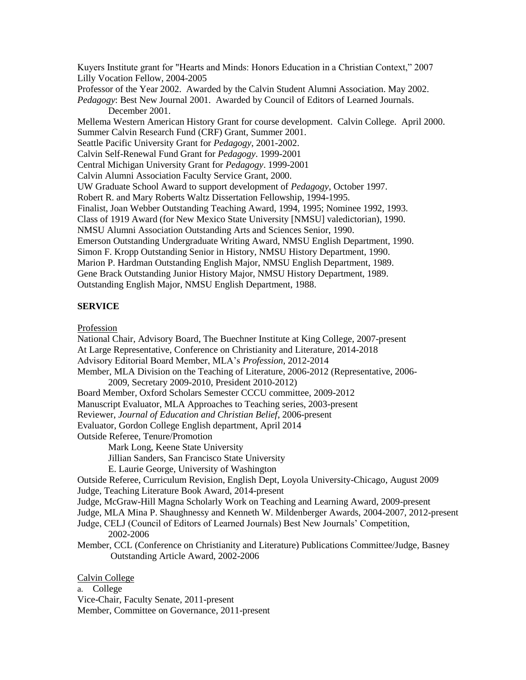Kuyers Institute grant for "Hearts and Minds: Honors Education in a Christian Context," 2007 Lilly Vocation Fellow, 2004-2005 Professor of the Year 2002. Awarded by the Calvin Student Alumni Association. May 2002. *Pedagogy*: Best New Journal 2001. Awarded by Council of Editors of Learned Journals. December 2001. Mellema Western American History Grant for course development. Calvin College. April 2000. Summer Calvin Research Fund (CRF) Grant, Summer 2001. Seattle Pacific University Grant for *Pedagogy*, 2001-2002. Calvin Self-Renewal Fund Grant for *Pedagogy*. 1999-2001 Central Michigan University Grant for *Pedagogy*. 1999-2001 Calvin Alumni Association Faculty Service Grant, 2000. UW Graduate School Award to support development of *Pedagogy*, October 1997. Robert R. and Mary Roberts Waltz Dissertation Fellowship, 1994-1995. Finalist, Joan Webber Outstanding Teaching Award, 1994, 1995; Nominee 1992, 1993. Class of 1919 Award (for New Mexico State University [NMSU] valedictorian), 1990. NMSU Alumni Association Outstanding Arts and Sciences Senior, 1990. Emerson Outstanding Undergraduate Writing Award, NMSU English Department, 1990. Simon F. Kropp Outstanding Senior in History, NMSU History Department, 1990. Marion P. Hardman Outstanding English Major, NMSU English Department, 1989. Gene Brack Outstanding Junior History Major, NMSU History Department, 1989. Outstanding English Major, NMSU English Department, 1988.

## **SERVICE**

Profession

National Chair, Advisory Board, The Buechner Institute at King College, 2007-present At Large Representative, Conference on Christianity and Literature, 2014-2018 Advisory Editorial Board Member, MLA's *Profession*, 2012-2014 Member, MLA Division on the Teaching of Literature, 2006-2012 (Representative, 2006- 2009, Secretary 2009-2010, President 2010-2012) Board Member, Oxford Scholars Semester CCCU committee, 2009-2012 Manuscript Evaluator, MLA Approaches to Teaching series, 2003-present Reviewer, *Journal of Education and Christian Belief*, 2006-present Evaluator, Gordon College English department, April 2014 Outside Referee, Tenure/Promotion Mark Long, Keene State University Jillian Sanders, San Francisco State University E. Laurie George, University of Washington Outside Referee, Curriculum Revision, English Dept, Loyola University-Chicago, August 2009 Judge, Teaching Literature Book Award, 2014-present Judge, McGraw-Hill Magna Scholarly Work on Teaching and Learning Award, 2009-present Judge, MLA Mina P. Shaughnessy and Kenneth W. Mildenberger Awards, 2004-2007, 2012-present Judge, CELJ (Council of Editors of Learned Journals) Best New Journals' Competition, 2002-2006 Member, CCL (Conference on Christianity and Literature) Publications Committee/Judge, Basney Outstanding Article Award, 2002-2006 Calvin College a. College

Vice-Chair, Faculty Senate, 2011-present Member, Committee on Governance, 2011-present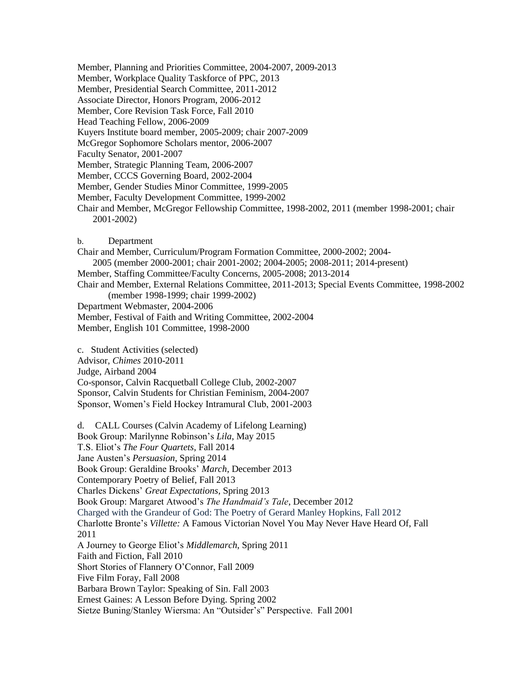- Member, Planning and Priorities Committee, 2004-2007, 2009-2013
- Member, Workplace Quality Taskforce of PPC, 2013
- Member, Presidential Search Committee, 2011-2012
- Associate Director, Honors Program, 2006-2012
- Member, Core Revision Task Force, Fall 2010
- Head Teaching Fellow, 2006-2009
- Kuyers Institute board member, 2005-2009; chair 2007-2009
- McGregor Sophomore Scholars mentor, 2006-2007
- Faculty Senator, 2001-2007
- Member, Strategic Planning Team, 2006-2007
- Member, CCCS Governing Board, 2002-2004
- Member, Gender Studies Minor Committee, 1999-2005
- Member, Faculty Development Committee, 1999-2002
- Chair and Member, McGregor Fellowship Committee, 1998-2002, 2011 (member 1998-2001; chair 2001-2002)
- b. Department
- Chair and Member, Curriculum/Program Formation Committee, 2000-2002; 2004-
- 2005 (member 2000-2001; chair 2001-2002; 2004-2005; 2008-2011; 2014-present)
- Member, Staffing Committee/Faculty Concerns, 2005-2008; 2013-2014

Chair and Member, External Relations Committee, 2011-2013; Special Events Committee, 1998-2002 (member 1998-1999; chair 1999-2002)

- Department Webmaster, 2004-2006
- Member, Festival of Faith and Writing Committee, 2002-2004
- Member, English 101 Committee, 1998-2000
- c. Student Activities (selected)
- Advisor, *Chimes* 2010-2011
- Judge, Airband 2004

Co-sponsor, Calvin Racquetball College Club, 2002-2007 Sponsor, Calvin Students for Christian Feminism, 2004-2007

Sponsor, Women's Field Hockey Intramural Club, 2001-2003

d. CALL Courses (Calvin Academy of Lifelong Learning) Book Group: Marilynne Robinson's *Lila*, May 2015 T.S. Eliot's *The Four Quartets*, Fall 2014 Jane Austen's *Persuasion*, Spring 2014 Book Group: Geraldine Brooks' *March*, December 2013 Contemporary Poetry of Belief, Fall 2013 Charles Dickens' *Great Expectations*, Spring 2013 Book Group: Margaret Atwood's *The Handmaid's Tale*, December 2012 Charged with the Grandeur of God: The Poetry of Gerard Manley Hopkins, Fall 2012 Charlotte Bronte's *Villette:* A Famous Victorian Novel You May Never Have Heard Of, Fall 2011 A Journey to George Eliot's *Middlemarch*, Spring 2011 Faith and Fiction, Fall 2010 Short Stories of Flannery O'Connor, Fall 2009 Five Film Foray, Fall 2008 Barbara Brown Taylor: Speaking of Sin. Fall 2003 Ernest Gaines: A Lesson Before Dying. Spring 2002 Sietze Buning/Stanley Wiersma: An "Outsider's" Perspective. Fall 2001